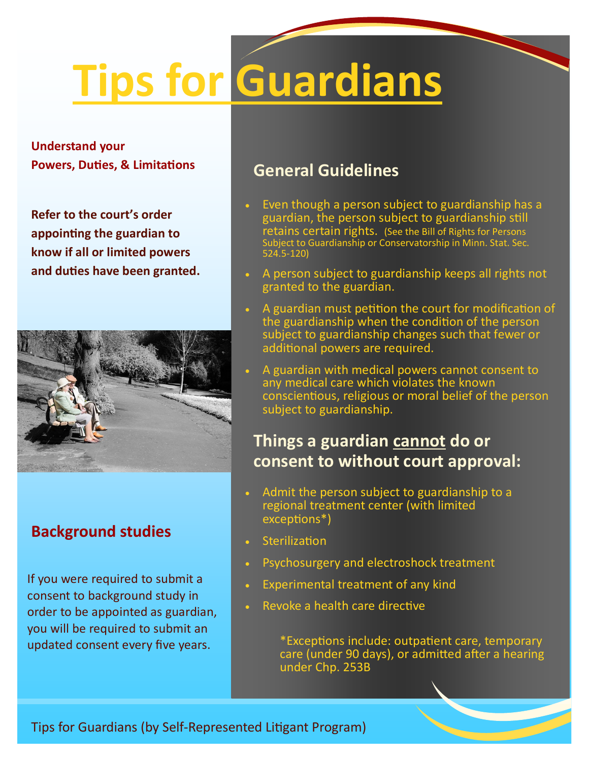# **Tips for Guardians**

**Understand your Powers, Duties, & Limitations** 

**Refer to the court's order appointing the guardian to know if all or limited powers and duties have been granted.**



## **Background studies**

If you were required to submit a consent to background study in order to be appointed as guardian, you will be required to submit an updated consent every five years.

## **General Guidelines**

- Even though a person subject to guardianship has a guardian, the person subject to guardianship still retains certain rights. (See the Bill of Rights for Persons ject to Guardianship or Conservatorship in Minn. Stat. Sec. 524.5-120)
- A person subject to guardianship keeps all rights not granted to the guardian.
- A guardian must petition the court for modification of the guardianship when the condition of the person subject to guardianship changes such that fewer or additional powers are required.
- A guardian with medical powers cannot consent to any medical care which violates the known conscientious, religious or moral belief of the person subject to guardianship.

## **Things a guardian cannot do or consent to without court approval:**

- Admit the person subject to guardianship to a regional treatment center (with limited exceptions\*)
- **Sterilization**
- Psychosurgery and electroshock treatment
- Experimental treatment of any kind
- Revoke a health care directive

\*Exceptions include: outpatient care, temporary care (under 90 days), or admitted after a hearing under Chp. 253B

Tips for Guardians (by Self-Represented Litigant Program)